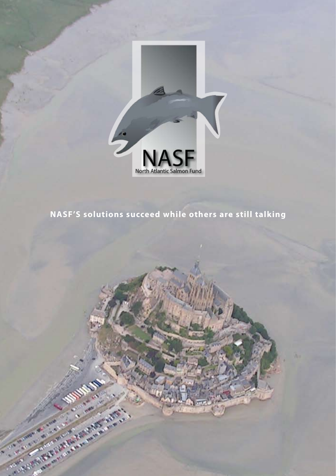

### **NASF'S solutions succeed while others are still talking**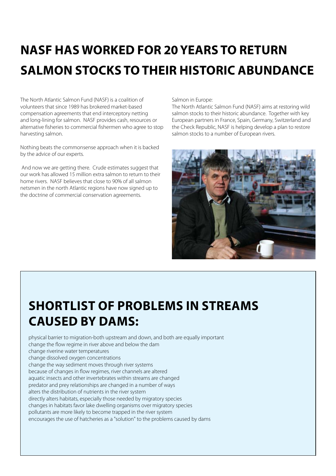# **NASF has worked for 20 YEARS to return salmon stocks to their historic abundance**

The North Atlantic Salmon Fund (NASF) is a coalition of volunteers that since 1989 has brokered market-based compensation agreements that end interceptory netting and long-lining for salmon. NASF provides cash, resources or alternative fisheries to commercial fishermen who agree to stop harvesting salmon.

Nothing beats the commonsense approach when it is backed by the advice of our experts.

And now we are getting there. Crude estimates suggest that our work has allowed 15 million extra salmon to return to their home rivers. NASF believes that close to 90% of all salmon netsmen in the north Atlantic regions have now signed up to the doctrine of commercial conservation agreements.

Salmon in Europe:

The North Atlantic Salmon Fund (NASF) aims at restoring wild salmon stocks to their historic abundance. Together with key European partners in France, Spain, Germany, Switzerland and the Check Republic, NASF is helping develop a plan to restore salmon stocks to a number of European rivers.



## **Shortlist of problems in streams caused by dams:**

physical barrier to migration-both upstream and down, and both are equally important change the flow regime in river above and below the dam change riverine water temperatures change dissolved oxygen concentrations change the way sediment moves through river systems because of changes in flow regimes, river channels are altered aquatic insects and other invertebrates within streams are changed predator and prey relationships are changed in a number of ways alters the distribution of nutrients in the river system directly alters habitats, especially those needed by migratory species changes in habitats favor lake dwelling organisms over migratory species pollutants are more likely to become trapped in the river system encourages the use of hatcheries as a "solution" to the problems caused by dams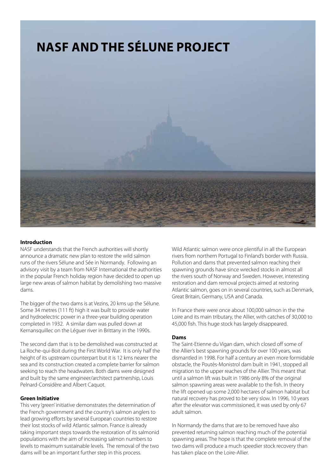

### **Introduction**

NASF understands that the French authorities will shortly announce a dramatic new plan to restore the wild salmon runs of the rivers Sélune and Sée in Normandy. Following an advisory visit by a team from NASF International the authorities in the popular French holiday region have decided to open up large new areas of salmon habitat by demolishing two massive dams.

The bigger of the two dams is at Vezins, 20 kms up the Sélune. Some 34 metres (111 ft) high it was built to provide water and hydroelectric power in a three-year building operation completed in 1932. A similar dam was pulled down at Kernansquillec on the Léguer river in Brittany in the 1990s.

The second dam that is to be demolished was constructed at La Roche-qui-Boit during the First World War. It is only half the height of its upstream counterpart but it is 12 kms nearer the sea and its construction created a complete barrier for salmon seeking to reach the headwaters. Both dams were designed and built by the same engineer/architect partnership, Louis Pelnard-Considère and Albert Caquot.

### **Green Initiative**

This very 'green' initiative demonstrates the determination of the French government and the country's salmon anglers to lead growing efforts by several European countries to restore their lost stocks of wild Atlantic salmon. France is already taking important steps towards the restoration of its salmonid populations with the aim of increasing salmon numbers to levels to maximum sustainable levels. The removal of the two dams will be an important further step in this process.

Wild Atlantic salmon were once plentiful in all the European rivers from northern Portugal to Finland's border with Russia. Pollution and dams that prevented salmon reaching their spawning grounds have since wrecked stocks in almost all the rivers south of Norway and Sweden. However, interesting restoration and dam removal projects aimed at restoring Atlantic salmon, goes on in several countries, such as Denmark, Great Britain, Germany, USA and Canada.

In France there were once about 100,000 salmon in the the Loire and its main tributary, the Allier, with catches of 30,000 to 45,000 fish. This huge stock has largely disappeared.

### **Dams**

The Saint-Etienne du Vigan dam, which closed off some of the Allier's best spawning grounds for over 100 years, was dismantled in 1998. For half a century an even more formidable obstacle, the Poutès-Monistrol dam built in 1941, stopped all migration to the upper reaches of the Allier. This meant that until a salmon lift was built in 1986 only 8% of the original salmon spawning areas were available to the fish. In theory the lift opened up some 2,000 hectares of salmon habitat but natural recovery has proved to be very slow. In 1996, 10 years after the elevator was commissioned, it was used by only 67 adult salmon.

In Normandy the dams that are to be removed have also prevented returning salmon reaching much of the potential spawning areas. The hope is that the complete removal of the two dams will produce a much speedier stock recovery than has taken place on the Loire-Allier.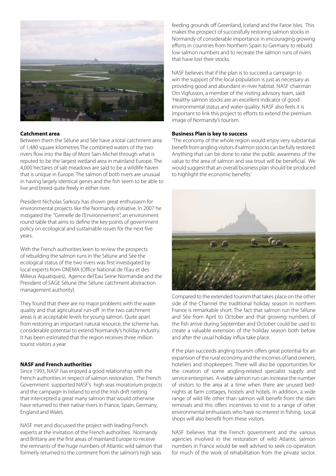

### **Catchment area**

Between them the Sélune and Sée have a total catchment area of 1,480 square kilometres.The combined waters of the two rivers flow into the Bay of Mont Sain-Michel through what is reputed to be the largest wetland area in mainland Europe. The 4,000 hectares of salt-meadows are said to be a wildlife haven that is unique in Europe. The salmon of both rivers are unusual in having largely identical genes and the fish seem to be able to live and breed quite freely in either river.

President Nicholas Sarkozy has shown great enthusiasm for environmental projects like the Normandy initiative. In 2007 he instigated the "Grenelle de l'Environnement", an environment round table that aims to define the key points of government policy on ecological and sustainable issues for the next five years.

With the French authorities keen to review the prospects of rebuilding the salmon runs in the Sélune and Sée the ecological status of the two rivers was first investigated by local experts from ONEMA (Office National de l'Eau et des Milieux Aquatiques), Agence del'Eau Seine Normandie and the President of SAGE Sélune (the Sélune catchment abstraction management authority).

They found that there are no major problems with the water quality and that agricultural run-off in the two catchment areas is at acceptable levels for young salmon. Quite apart from restoring an important natural resource, the scheme has considerable potential to extend Normandy's holiday industry. It has been estimated that the region receives three million tourist visitors a year.

### **NASF and French authorities**

Since 1993, NASF has enjoyed a good relationship with the French authorities in respect of salmon restoration. The French Government supported NASF's high seas moratorium projects and the campaign in Ireland to end the Irish drift netting that intercepted a great many salmon that would otherwise have returned to their native rivers in France, Spain, Germany, England and Wales.

NASF met and discussed the project with leading French experts at the invitation of the French authorities. Normandy and Brittany are the first areas of mainland Europe to receive the remnants of the huge numbers of Atlantic wild salmon that formerly returned to the continent from the salmon's high seas

feeding grounds off Greenland, Iceland and the Faroe Isles. This makes the prospect of successfully restoring salmon stocks in Normandy of considerable importance in encouraging growing efforts in countries from Northern Spain to Germany to rebuild low salmon numbers and to recreate the salmon runs of rivers that have lost their stocks.

NASF believes that if the plan is to succeed a campaign to win the support of the local population is just as necessary as providing good and abundant in-river habitat. NASF chairman Orri Vigfusson, a member of the visiting advisory team, said: 'Healthy salmon stocks are an excellent indicator of good environmental status and water quality. NASF also feels it is important to link this project to efforts to extend the premium image of Normandy's tourism.

### **Business Plan is key to success**

'The economy of the whole region would enjoy very substantial benefit from angling visitors if salmon stocks can be fully restored. Anything that can be done to raise the public awareness of the value to the area of salmon and sea trout will be beneficial. We would suggest that an overall business plan should be produced to highlight the economic benefits.'



Compared to the extended tourism that takes place on the other side of the Channel the traditional holiday season in northern France is remarkable short. The fact that salmon run the Sélune and Sée from April to October and that growing numbers of the fish arrive during September and October could be used to create a valuable extension of the holiday season both before and after the usual holiday influx take place.

If the plan succeeds angling tourism offers great potential for an expansion of the rural economy and the incomes of land owners, hoteliers and shopkeepers. There will also be opportunities for the creation of some angling-related specialist supply and service enterprises. A viable salmon run can increase the number of visitors to the area at a time when there are unused bednights at farm cottages, hostels and hotels. In addition, a wide range of wild life other than salmon will benefit from the dam removals and this offers incentives to visit to a range of other environmental enthusiasts who have no interest in fishing. Local shops will also benefit from these visitors.

NASF believes that the French government and the various agencies involved in the restoration of wild Atlantic salmon numbers in France would be well advised to seek co-operation for much of the work of rehabilitation from the private sector.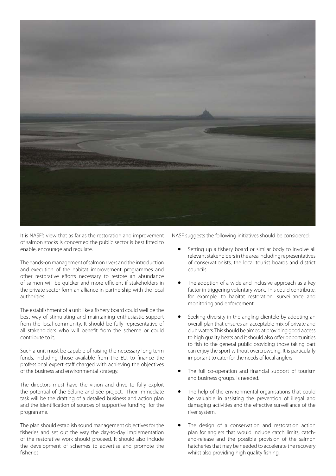

It is NASF's view that as far as the restoration and improvement of salmon stocks is concerned the public sector is best fitted to enable, encourage and regulate.

The hands-on management of salmon rivers and the introduction and execution of the habitat improvement programmes and other restorative efforts necessary to restore an abundance of salmon will be quicker and more efficient if stakeholders in the private sector form an alliance in partnership with the local authorities.

The establishment of a unit like a fishery board could well be the best way of stimulating and maintaining enthusiastic support from the local community. It should be fully representative of all stakeholders who will benefit from the scheme or could contribute to it.

Such a unit must be capable of raising the necessary long term funds, including those available from the EU, to finance the professional expert staff charged with achieving the objectives of the business and environmental strategy.

The directors must have the vision and drive to fully exploit the potential of the Sélune and Sée project. Their immediate task will be the drafting of a detailed business and action plan and the identification of sources of supportive funding for the programme.

The plan should establish sound management objectives for the fisheries and set out the way the day-to-day implementation of the restorative work should proceed. It should also include the development of schemes to advertise and promote the fisheries.

NASF suggests the following initiatives should be considered:

- Setting up a fishery board or similar body to involve all relevant stakeholders in the area including representatives of conservationists, the local tourist boards and district councils.
- The adoption of a wide and inclusive approach as a key factor in triggering voluntary work. This could contribute, for example, to habitat restoration, surveillance and monitoring and enforcement.
- Seeking diversity in the angling clientele by adopting an overall plan that ensures an acceptable mix of private and club waters. This should be aimed at providing good access to high quality beats and it should also offer opportunities to fish to the general public providing those taking part can enjoy the sport without overcrowding. It is particularly important to cater for the needs of local anglers
- The full co-operation and financial support of tourism and business groups. is needed.
- The help of the environmental organisations that could be valuable in assisting the prevention of illegal and damaging activities and the effective surveillance of the river system.
- The design of a conservation and restoration action plan for anglers that would include catch limits, catchand-release and the possible provision of the salmon hatcheries that may be needed to accelerate the recovery whilst also providing high quality fishing.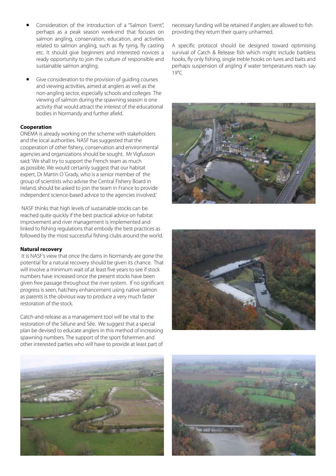- Consideration of the introduction of a "Salmon Event", perhaps as a peak season week-end that focuses on salmon angling, conservation, education, and activities related to salmon angling, such as fly tying, fly casting etc. It should give beginners and interested novices a ready opportunity to join the culture of responsible and sustainable salmon angling.
- Give consideration to the provision of quiding courses and viewing activities, aimed at anglers as well as the non-angling sector, especially schools and colleges The viewing of salmon during the spawning season is one activity that would attract the interest of the educational bodies in Normandy and further afield.

### **Cooperation**

ONEMA is already working on the scheme with stakeholders and the local authorities. NASF has suggested that the cooperation of other fishery, conservation and environmental agencies and organizations should be sought. Mr Vigfusson said: 'We shall try to support the French team as much as possible. We would certainly suggest that our habitat expert, Dr Martin O´Grady, who is a senior member of the group of scientists who advise the Central Fishery Board in Ireland, should be asked to join the team in France to provide independent science-based advice to the agencies involved.'

NASF thinks that high levels of sustainable stocks can be reached quite quickly if the best practical advice on habitat improvement and river management is implemented and linked to fishing regulations that embody the best practices as followed by the most successful fishing clubs around the world.

### **Natural recovery**

It is NASF's view that once the dams in Normandy are gone the potential for a natural recovery should be given its chance. That will involve a minimum wait of at least five years to see if stock numbers have increased once the present stocks have been given free passage throughout the river system. If no significant progress is seen, hatchery enhancement using native salmon as parents is the obvious way to produce a very much faster restoration of the stock.

Catch-and-release as a management tool will be vital to the restoration of the Sélune and Sée. We suggest that a special plan be devised to educate anglers in this method of increasing spawning numbers. The support of the sport fishermen and other interested parties who will have to provide at least part of

necessary funding will be retained if anglers are allowed to fish providing they return their quarry unharmed.

A specific protocol should be designed toward optimising survival of Catch & Release fish which might include barbless hooks, fly only fishing, single treble hooks on lures and baits and perhaps suspension of angling if water temperatures reach say 19°C







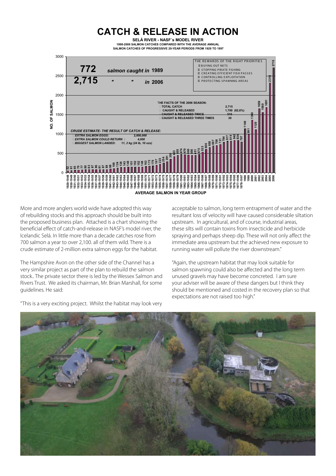

More and more anglers world wide have adopted this way of rebuilding stocks and this approach should be built into the proposed business plan. Attached is a chart showing the beneficial effect of catch-and-release in NASF's model river, the Icelandic Selá. In little more than a decade catches rose from 700 salmon a year to over 2,100. all of them wild. There is a crude estimate of 2-million extra salmon eggs for the habitat.

The Hampshire Avon on the other side of the Channel has a very similar project as part of the plan to rebuild the salmon stock.. The private sector there is led by the Wessex Salmon and Rivers Trust. We asked its chairman, Mr. Brian Marshall, for some guidelines. He said:

acceptable to salmon, long term entrapment of water and the resultant loss of velocity will have caused considerable siltation upstream. In agricultural, and of course, industrial areas, these silts will contain toxins from insecticide and herbicide spraying and perhaps sheep dip. These will not only affect the immediate area upstream but the achieved new exposure to running water will pollute the river downstream."

"Again, the upstream habitat that may look suitable for salmon spawning could also be affected and the long term unused gravels may have become concreted. I am sure your adviser will be aware of these dangers but I think they should be mentioned and costed in the recovery plan so that expectations are not raised too high."



"This is a very exciting project. Whilst the habitat may look very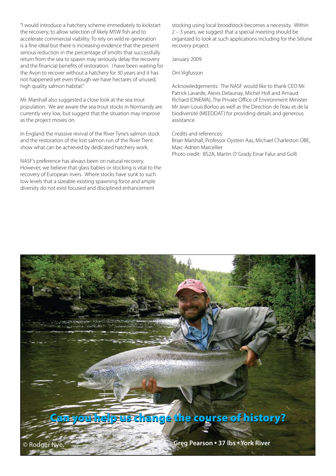"I would introduce a hatchery scheme immediately to kickstart the recovery, to allow selection of likely MSW fish and to accelerate commercial viability. To rely on wild re-generation is a fine ideal but there is increasing evidence that the present serious reduction in the percentage of smolts that successfully return from the sea to spawn may seriously delay the recovery and the financial benefits of restoration. I have been waiting for the Avon to recover without a hatchery for 30 years and it has not happened yet even though we have hectares of unused, high quality salmon habitat."

Mr. Marshall also suggested a close look at the sea trout population. We are aware the sea trout stocks in Normandy are currently very low, but suggest that the situation may improve as the project moves on.

In England the massive revival of the River Tyne's salmon stock and the restoration of the lost salmon run of the River Trent show what can be achieved by dedicated hatchery work.

NASF's preference has always been on natural recovery. However, we believe that glass babies or stocking is vital to the recovery of European rivers. Where stocks have sunk to such low levels that a sizeable existing spawning force and ample diversity do not exist focused and disciplined enhancement

stocking using local broodstock becomes a necessity. Within 2 – 3 years, we suggest that a special meeting should be organized to look at such applications including for the Sélune recovery project.

January 2009

Orri Vigfusson

Acknowledgements: The NASF would like to thank CEO Mr. Patrick Lavarde, Alexis Delaunay, Michel Holl and Arnaud Richard (ONEMA), The Private Office of Environment Minister Mr Jean-Louis Borloo as well as the Direction de l'eau et de la biodiversité (MEEDDAT) for providing details and generous assistance.

Credits and references:

Brian Marshall, Professor Oystein Aas, Michael Charleston OBE, Marc-Adrien Marcellier Photo credit: BS2A, Martin O' Grady Einar Falur and Golli

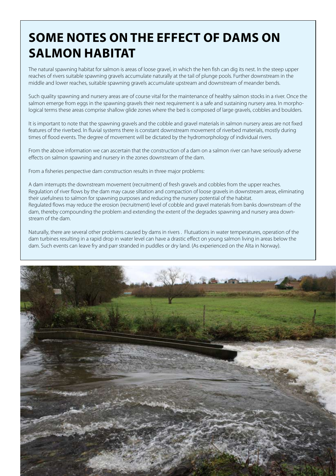### **Some notes on the effect of dams on salmon habitat**

The natural spawning habitat for salmon is areas of loose gravel, in which the hen fish can dig its nest. In the steep upper reaches of rivers suitable spawning gravels accumulate naturally at the tail of plunge pools. Further downstream in the middle and lower reaches, suitable spawning gravels accumulate upstream and downstream of meander bends.

Such quality spawning and nursery areas are of course vital for the maintenance of healthy salmon stocks in a river. Once the salmon emerge from eggs in the spawning gravels their next requirement is a safe and sustaining nursery area. In morphological terms these areas comprise shallow glide zones where the bed is composed of large gravels, cobbles and boulders.

It is important to note that the spawning gravels and the cobble and gravel materials in salmon nursery areas are not fixed features of the riverbed. In fluvial systems there is constant downstream movement of riverbed materials, mostly during times of flood events. The degree of movement will be dictated by the hydromorphology of individual rivers.

From the above information we can ascertain that the construction of a dam on a salmon river can have seriously adverse effects on salmon spawning and nursery in the zones downstream of the dam.

From a fisheries perspective dam construction results in three major problems:

A dam interrupts the downstream movement (recruitment) of fresh gravels and cobbles from the upper reaches. Regulation of river flows by the dam may cause siltation and compaction of loose gravels in downstream areas, eliminating their usefulness to salmon for spawning purposes and reducing the nursery potential of the habitat. Regulated flows may reduce the erosion (recruitment) level of cobble and gravel materials from banks downstream of the dam, thereby compounding the problem and extending the extent of the degrades spawning and nursery area downstream of the dam.

Naturally, there are several other problems caused by dams in rivers . Flutuations in water temperatures, operation of the dam turbines resulting in a rapid drop in water level can have a drastic effect on young salmon living in areas below the dam. Such events can leave fry and parr stranded in puddles or dry land. (As experienced on the Alta in Norway).

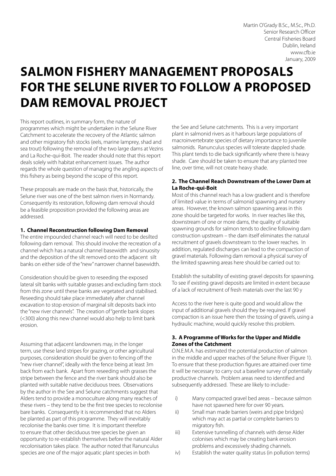### **Salmon Fishery Management Proposals for the Selune River to Follow a Proposed Dam Removal Project**

This report outlines, in summary form, the nature of programmes which might be undertaken in the Selune River Catchment to accelerate the recovery of the Atlantic salmon and other migratory fish stocks (eels, marine lamprey, shad and sea trout) following the removal of the two large dams at Vezins and La Roche-qui-Boit. The reader should note that this report deals solely with habitat enhancement issues. The author regards the whole question of managing the angling aspects of this fishery as being beyond the scope of this report.

These proposals are made on the basis that, historically, the Selune river was one of the best salmon rivers in Normandy. Consequently its restoration, following dam removal should be a feasible proposition provided the following areas are addressed.

### **1. Channel Reconstruction following Dam Removal**

The entire impounded channel reach will need to be desilted following dam removal. This should involve the recreation of a channel which has a natural channel basewidth and sinuosity and the deposition of the silt removed onto the adjacent silt banks on either side of the "new" narrower channel basewidth.

Consideration should be given to reseeding the exposed lateral silt banks with suitable grasses and excluding farm stock from this zone until these banks are vegetated and stabilised. Reseeding should take place immediately after channel excavation to stop erosion of marginal silt deposits back into the "new river channels". The creation of "gentle bank slopes (<300) along this new channel would also help to limit bank erosion.

Assuming that adjacent landowners may, in the longer term, use these land stripes for grazing, or other agricultural purposes, consideration should be given to fencing off the "new river channel", ideally with the fence being at least 3m back from each bank. Apart from reseeding with grasses the stripe between the fence and the river bank should also be planted with suitable native deciduous trees. Observations by the author in the See and Selune catchments suggest that Alders tend to provide a monoculture along many reaches of these rivers – they tend to be the first tree species to recolonise bare banks. Consequently it is recommended that no Alders be planted as part of this programme. They will inevitably recolonise the banks over time. It is important therefore to ensure that other deciduous tree species be given an opportunity to re-establish themselves before the natural Alder recolonisation takes place. The author noted that Ranunculus species are one of the major aquatic plant species in both

the See and Selune catchments. This is a very important plant in salmonid rivers as it harbours large populations of macroinvertebrate species of dietary importance to juvenile salmonids. Ranunculus species will tolerate dappled shade. This plant tends to die back significantly where there is heavy shade. Care should be taken to ensure that any planted tree line, over time, will not create heavy shade.

### **2. The Channel Reach Downstream of the Lower Dam at La Roche-qui-Boit**

Most of this channel reach has a low gradient and is therefore of limited value in terms of salmonid spawning and nursery areas. However, the known salmon spawning areas in this zone should be targeted for works. In river reaches like this, downstream of one or more dams, the quality of suitable spawning grounds for salmon tends to decline following dam construction upstream – the dam itself eliminates the natural recruitment of gravels downstream to the lower reaches. In addition, regulated discharges can lead to the compaction of gravel materials. Following dam removal a physical survey of the limited spawning areas here should be carried out to:

Establish the suitability of existing gravel deposits for spawning. To see if existing gravel deposits are limited in extent because of a lack of recruitment of fresh materials over the last 90 y

Access to the river here is quite good and would allow the input of additional gravels should they be required. If gravel compaction is an issue here then the tossing of gravels, using a hydraulic machine, would quickly resolve this problem.

### **3. A Programme of Works for the Upper and Middle Zones of the Catchment**

O.N.E.M.A. has estimated the potential production of salmon in the middle and upper reaches of the Selune River (Figure 1). To ensure that these production figures are attained over time it will be necessary to carry out a baseline survey of potentially productive channels. Problem areas need to identified and subsequently addressed. These are likely to include:-

- i) Many compacted gravel bed areas because salmon have not spawned here for over 90 years.
- ii) Small man made barriers (weirs and pipe bridges) which may act as partial or complete barriers to migratory fish.
- iii) Extensive tunnelling of channels with dense Alder colonises which may be creating bank erosion problems and excessively shading channels.
- iv) Establish the water quality status (in pollution terms)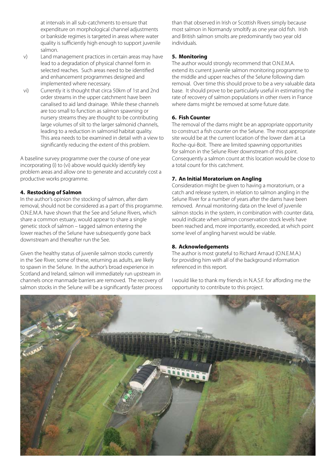at intervals in all sub-catchments to ensure that expenditure on morphological channel adjustments or bankside regimes is targeted in areas where water quality is sufficiently high enough to support juvenile salmon.

- v) Land management practices in certain areas may have lead to a degradation of physical channel form in selected reaches. Such areas need to be identified and enhancement programmes designed and implemented where necessary.
- vi) Currently it is thought that circa 50km of 1st and 2nd order streams in the upper catchment have been canalised to aid land drainage. While these channels are too small to function as salmon spawning or nursery streams they are thought to be contributing large volumes of silt to the larger salmonid channels, leading to a reduction in salmonid habitat quality. This area needs to be examined in detail with a view to significantly reducing the extent of this problem.

A baseline survey programme over the course of one year incorporating (i) to (vi) above would quickly identify key problem areas and allow one to generate and accurately cost a productive works programme.

### **4. Restocking of Salmon**

In the author's opinion the stocking of salmon, after dam removal, should not be considered as a part of this programme. O.N.E.M.A. have shown that the See and Selune Rivers, which share a common estuary, would appear to share a single genetic stock of salmon – tagged salmon entering the lower reaches of the Selune have subsequently gone back downstream and thereafter run the See.

Given the healthy status of juvenile salmon stocks currently in the See River, some of these, returning as adults, are likely to spawn in the Selune. In the author's broad experience in Scotland and Ireland, salmon will immediately run upstream in channels once manmade barriers are removed. The recovery of salmon stocks in the Selune will be a significantly faster process

than that observed in Irish or Scottish Rivers simply because most salmon in Normandy smoltify as one year old fish. Irish and British salmon smolts are predominantly two year old individuals.

### **5. Monitoring**

The author would strongly recommend that O.N.E.M.A. extend its current juvenile salmon monitoring programme to the middle and upper reaches of the Selune following dam removal. Over time this should prove to be a very valuable data base. It should prove to be particularly useful in estimating the rate of recovery of salmon populations in other rivers in France where dams might be removed at some future date.

### **6. Fish Counter**

The removal of the dams might be an appropriate opportunity to construct a fish counter on the Selune. The most appropriate site would be at the current location of the lower dam at La Roche-qui-Boit. There are limited spawning opportunities for salmon in the Selune River downstream of this point. Consequently a salmon count at this location would be close to a total count for this catchment.

### **7. An Initial Moratorium on Angling**

Consideration might be given to having a moratorium, or a catch and release system, in relation to salmon angling in the Selune River for a number of years after the dams have been removed. Annual monitoring data on the level of juvenile salmon stocks in the system, in combination with counter data, would indicate when salmon conservation stock levels have been reached and, more importantly, exceeded, at which point some level of angling harvest would be viable.

### **8. Acknowledgements**

The author is most grateful to Richard Arnaud (O.N.E.M.A.) for providing him with all of the background information referenced in this report.

I would like to thank my friends in N.A.S.F. for affording me the opportunity to contribute to this project.